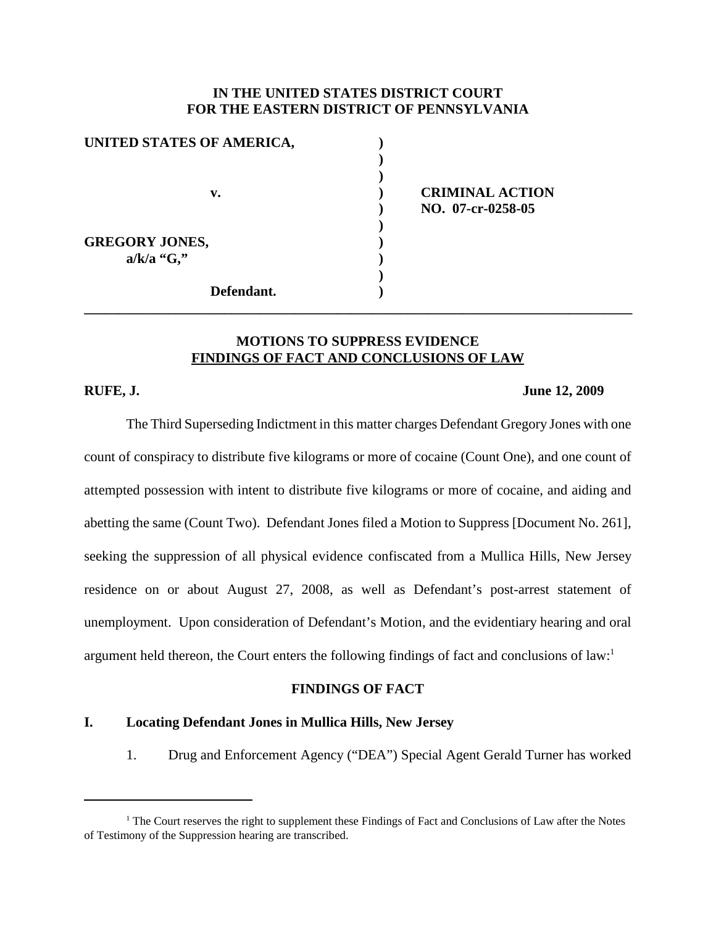## **IN THE UNITED STATES DISTRICT COURT FOR THE EASTERN DISTRICT OF PENNSYLVANIA**

| UNITED STATES OF AMERICA, |  |
|---------------------------|--|
|                           |  |
|                           |  |
| v.                        |  |
|                           |  |
| <b>GREGORY JONES,</b>     |  |
| $a/k/a$ "G,"              |  |
|                           |  |
| Defendant.                |  |

**v. ) CRIMINAL ACTION ) NO. 07-cr-0258-05**

#### **MOTIONS TO SUPPRESS EVIDENCE FINDINGS OF FACT AND CONCLUSIONS OF LAW**

**\_\_\_\_\_\_\_\_\_\_\_\_\_\_\_\_\_\_\_\_\_\_\_\_\_\_\_\_\_\_\_\_\_\_\_\_\_\_\_\_\_\_\_\_\_\_\_\_\_\_\_\_\_\_\_\_\_\_\_\_\_\_\_\_\_\_\_\_\_\_\_\_\_\_\_\_\_\_**

#### **RUFE, J. June 12, 2009**

The Third Superseding Indictment in this matter charges Defendant Gregory Jones with one count of conspiracy to distribute five kilograms or more of cocaine (Count One), and one count of attempted possession with intent to distribute five kilograms or more of cocaine, and aiding and abetting the same (Count Two). Defendant Jones filed a Motion to Suppress [Document No. 261], seeking the suppression of all physical evidence confiscated from a Mullica Hills, New Jersey residence on or about August 27, 2008, as well as Defendant's post-arrest statement of unemployment. Upon consideration of Defendant's Motion, and the evidentiary hearing and oral argument held thereon, the Court enters the following findings of fact and conclusions of law: 1

#### **FINDINGS OF FACT**

## **I. Locating Defendant Jones in Mullica Hills, New Jersey**

1. Drug and Enforcement Agency ("DEA") Special Agent Gerald Turner has worked

 $<sup>1</sup>$  The Court reserves the right to supplement these Findings of Fact and Conclusions of Law after the Notes</sup> of Testimony of the Suppression hearing are transcribed.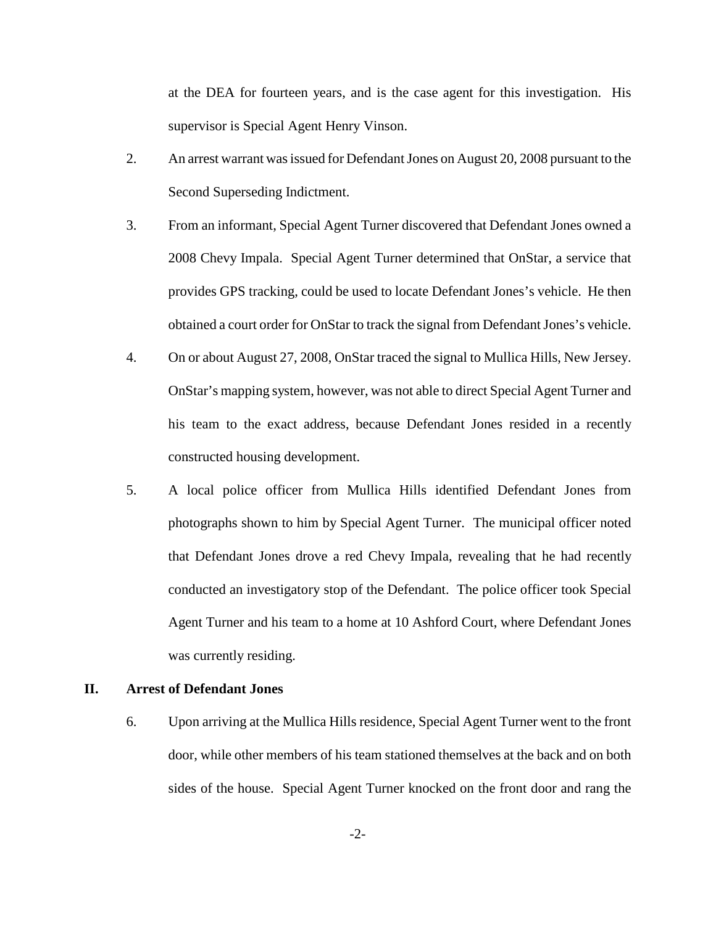at the DEA for fourteen years, and is the case agent for this investigation. His supervisor is Special Agent Henry Vinson.

- 2. An arrest warrant was issued for Defendant Jones on August 20, 2008 pursuant to the Second Superseding Indictment.
- 3. From an informant, Special Agent Turner discovered that Defendant Jones owned a 2008 Chevy Impala. Special Agent Turner determined that OnStar, a service that provides GPS tracking, could be used to locate Defendant Jones's vehicle. He then obtained a court order for OnStar to track the signal from DefendantJones's vehicle.
- 4. On or about August 27, 2008, OnStar traced the signal to Mullica Hills, New Jersey. OnStar's mapping system, however, was not able to direct Special Agent Turner and his team to the exact address, because Defendant Jones resided in a recently constructed housing development.
- 5. A local police officer from Mullica Hills identified Defendant Jones from photographs shown to him by Special Agent Turner. The municipal officer noted that Defendant Jones drove a red Chevy Impala, revealing that he had recently conducted an investigatory stop of the Defendant. The police officer took Special Agent Turner and his team to a home at 10 Ashford Court, where Defendant Jones was currently residing.

### **II. Arrest of Defendant Jones**

6. Upon arriving at the Mullica Hills residence, Special Agent Turner went to the front door, while other members of his team stationed themselves at the back and on both sides of the house. Special Agent Turner knocked on the front door and rang the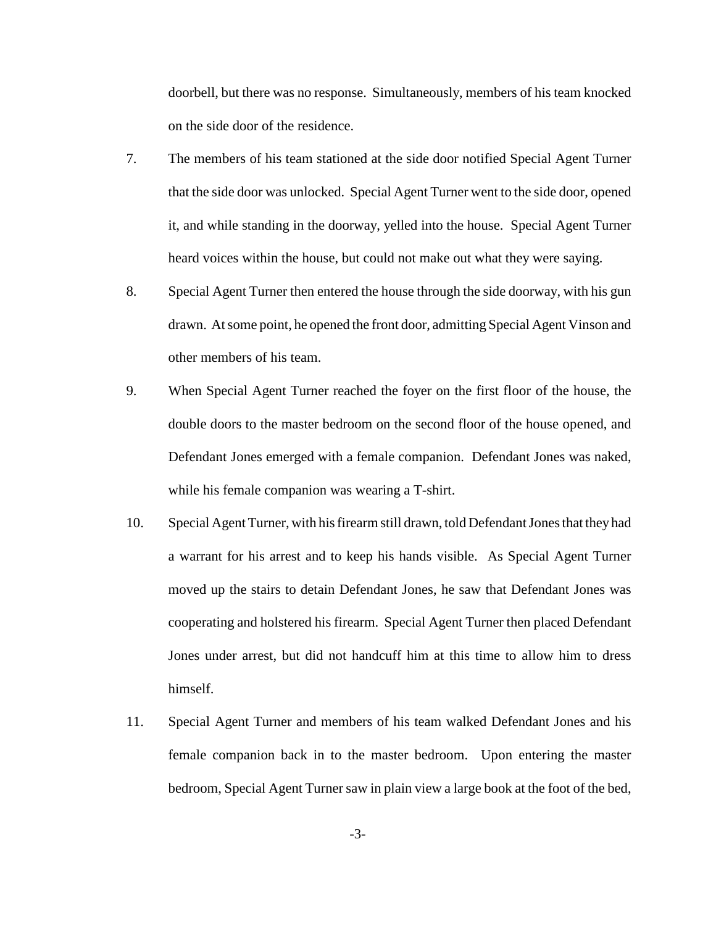doorbell, but there was no response. Simultaneously, members of his team knocked on the side door of the residence.

- 7. The members of his team stationed at the side door notified Special Agent Turner that the side door was unlocked. Special Agent Turner went to the side door, opened it, and while standing in the doorway, yelled into the house. Special Agent Turner heard voices within the house, but could not make out what they were saying.
- 8. Special Agent Turner then entered the house through the side doorway, with his gun drawn. Atsome point, he opened the front door, admitting Special Agent Vinson and other members of his team.
- 9. When Special Agent Turner reached the foyer on the first floor of the house, the double doors to the master bedroom on the second floor of the house opened, and Defendant Jones emerged with a female companion. Defendant Jones was naked, while his female companion was wearing a T-shirt.
- 10. Special AgentTurner, with hisfirearm still drawn, told DefendantJonesthat theyhad a warrant for his arrest and to keep his hands visible. As Special Agent Turner moved up the stairs to detain Defendant Jones, he saw that Defendant Jones was cooperating and holstered his firearm. Special Agent Turner then placed Defendant Jones under arrest, but did not handcuff him at this time to allow him to dress himself.
- 11. Special Agent Turner and members of his team walked Defendant Jones and his female companion back in to the master bedroom. Upon entering the master bedroom, Special Agent Turner saw in plain view a large book at the foot of the bed,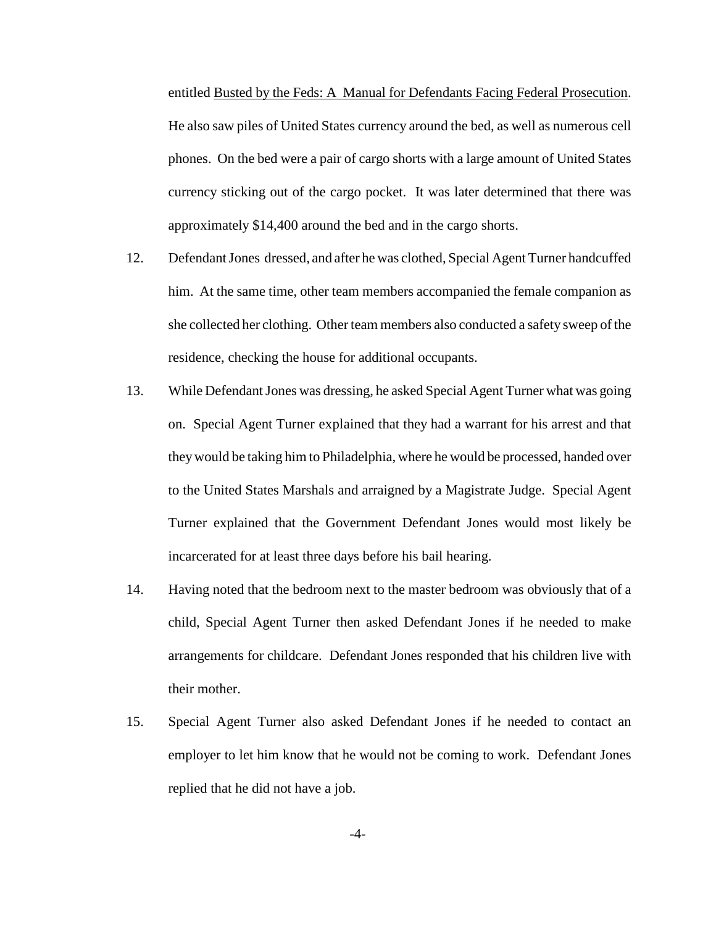entitled Busted by the Feds: A Manual for Defendants Facing Federal Prosecution. He also saw piles of United States currency around the bed, as well as numerous cell phones. On the bed were a pair of cargo shorts with a large amount of United States currency sticking out of the cargo pocket. It was later determined that there was approximately \$14,400 around the bed and in the cargo shorts.

- 12. DefendantJones dressed, and after he was clothed, Special Agent Turner handcuffed him. At the same time, other team members accompanied the female companion as she collected her clothing. Other team members also conducted a safety sweep of the residence, checking the house for additional occupants.
- 13. While Defendant Jones was dressing, he asked Special Agent Turner what was going on. Special Agent Turner explained that they had a warrant for his arrest and that theywould be taking him to Philadelphia, where he would be processed, handed over to the United States Marshals and arraigned by a Magistrate Judge. Special Agent Turner explained that the Government Defendant Jones would most likely be incarcerated for at least three days before his bail hearing.
- 14. Having noted that the bedroom next to the master bedroom was obviously that of a child, Special Agent Turner then asked Defendant Jones if he needed to make arrangements for childcare. Defendant Jones responded that his children live with their mother.
- 15. Special Agent Turner also asked Defendant Jones if he needed to contact an employer to let him know that he would not be coming to work. Defendant Jones replied that he did not have a job.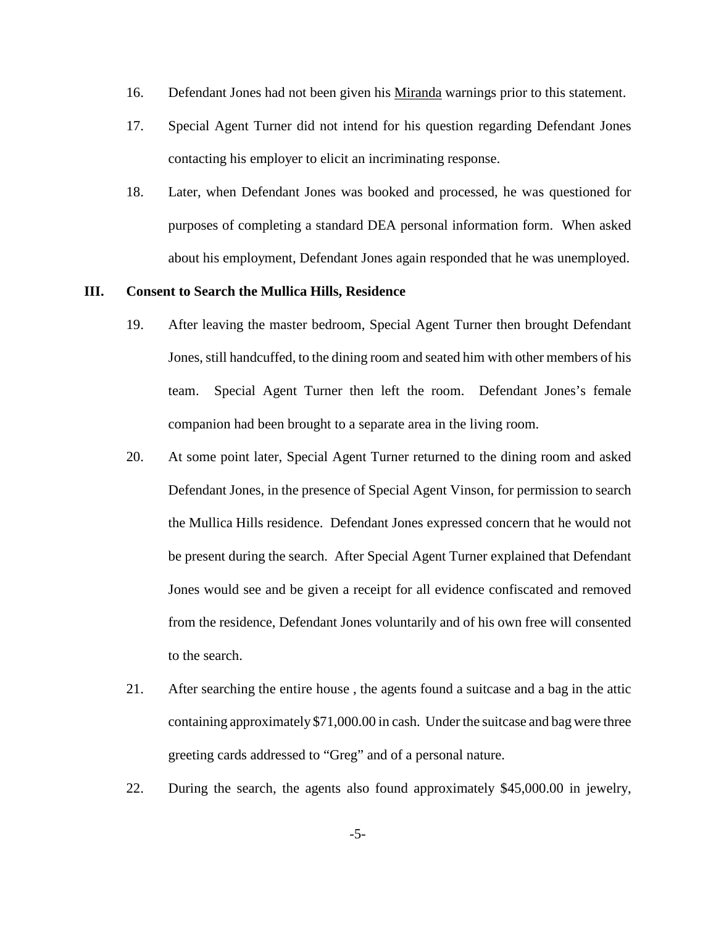- 16. Defendant Jones had not been given his Miranda warnings prior to this statement.
- 17. Special Agent Turner did not intend for his question regarding Defendant Jones contacting his employer to elicit an incriminating response.
- 18. Later, when Defendant Jones was booked and processed, he was questioned for purposes of completing a standard DEA personal information form. When asked about his employment, Defendant Jones again responded that he was unemployed.

#### **III. Consent to Search the Mullica Hills, Residence**

- 19. After leaving the master bedroom, Special Agent Turner then brought Defendant Jones, still handcuffed, to the dining room and seated him with other members of his team. Special Agent Turner then left the room. Defendant Jones's female companion had been brought to a separate area in the living room.
- 20. At some point later, Special Agent Turner returned to the dining room and asked Defendant Jones, in the presence of Special Agent Vinson, for permission to search the Mullica Hills residence. Defendant Jones expressed concern that he would not be present during the search. After Special Agent Turner explained that Defendant Jones would see and be given a receipt for all evidence confiscated and removed from the residence, Defendant Jones voluntarily and of his own free will consented to the search.
- 21. After searching the entire house , the agents found a suitcase and a bag in the attic containing approximately \$71,000.00 in cash. Under the suitcase and bag were three greeting cards addressed to "Greg" and of a personal nature.
- 22. During the search, the agents also found approximately \$45,000.00 in jewelry,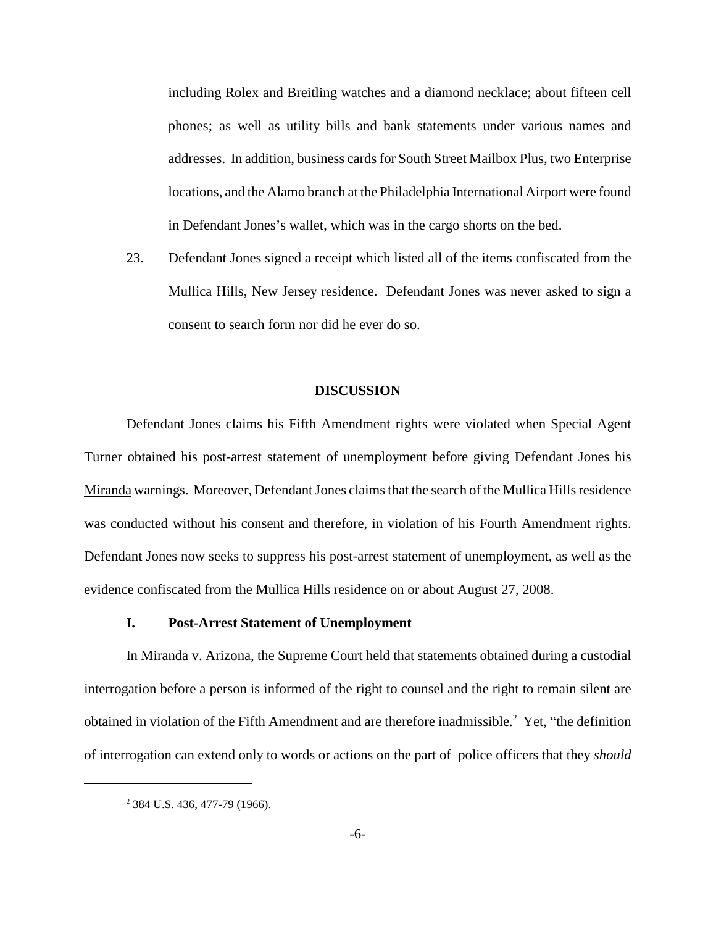including Rolex and Breitling watches and a diamond necklace; about fifteen cell phones; as well as utility bills and bank statements under various names and addresses. In addition, business cards for South Street Mailbox Plus, two Enterprise locations, and the Alamo branch at the Philadelphia International Airport were found in Defendant Jones's wallet, which was in the cargo shorts on the bed.

23. Defendant Jones signed a receipt which listed all of the items confiscated from the Mullica Hills, New Jersey residence. Defendant Jones was never asked to sign a consent to search form nor did he ever do so.

#### **DISCUSSION**

Defendant Jones claims his Fifth Amendment rights were violated when Special Agent Turner obtained his post-arrest statement of unemployment before giving Defendant Jones his Miranda warnings. Moreover, Defendant Jones claims that the search of the Mullica Hills residence was conducted without his consent and therefore, in violation of his Fourth Amendment rights. Defendant Jones now seeks to suppress his post-arrest statement of unemployment, as well as the evidence confiscated from the Mullica Hills residence on or about August 27, 2008.

#### **I. Post-Arrest Statement of Unemployment**

In Miranda v. Arizona, the Supreme Court held that statements obtained during a custodial interrogation before a person is informed of the right to counsel and the right to remain silent are obtained in violation of the Fifth Amendment and are therefore inadmissible.<sup>2</sup> Yet, "the definition of interrogation can extend only to words or actions on the part of police officers that they *should*

<sup>&</sup>lt;sup>2</sup> 384 U.S. 436, 477-79 (1966).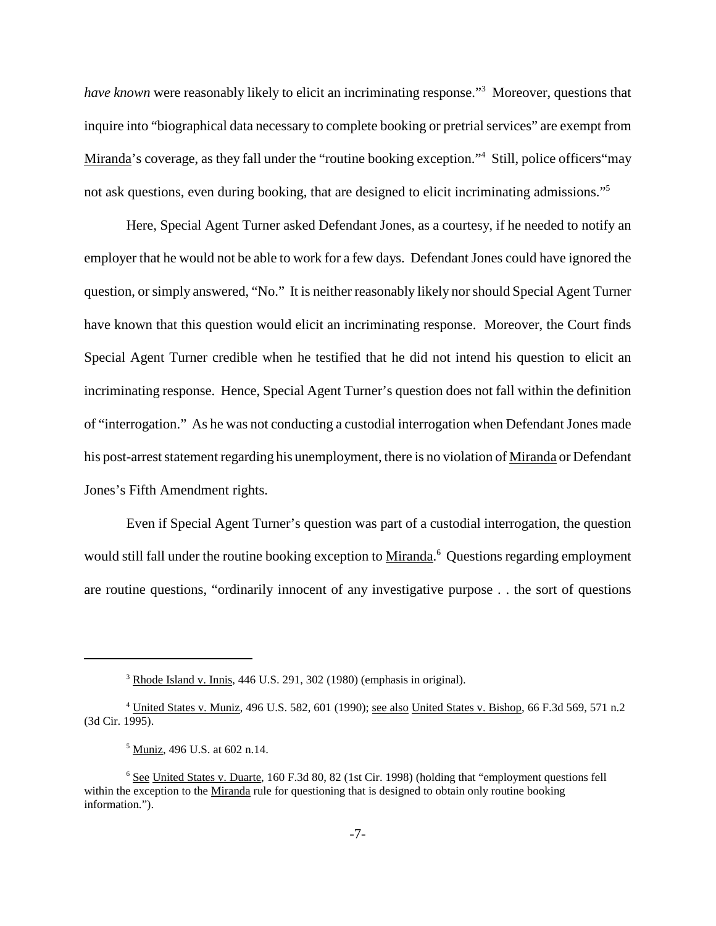*have known* were reasonably likely to elicit an incriminating response."3 Moreover, questions that inquire into "biographical data necessary to complete booking or pretrial services" are exempt from Miranda's coverage, as they fall under the "routine booking exception."<sup>4</sup> Still, police officers "may not ask questions, even during booking, that are designed to elicit incriminating admissions."<sup>5</sup>

Here, Special Agent Turner asked Defendant Jones, as a courtesy, if he needed to notify an employer that he would not be able to work for a few days. Defendant Jones could have ignored the question, orsimply answered, "No." It is neither reasonably likely norshould Special Agent Turner have known that this question would elicit an incriminating response. Moreover, the Court finds Special Agent Turner credible when he testified that he did not intend his question to elicit an incriminating response. Hence, Special Agent Turner's question does not fall within the definition of "interrogation." As he was not conducting a custodial interrogation when Defendant Jones made his post-arrest statement regarding his unemployment, there is no violation of Miranda or Defendant Jones's Fifth Amendment rights.

Even if Special Agent Turner's question was part of a custodial interrogation, the question would still fall under the routine booking exception to Miranda.<sup>6</sup> Questions regarding employment are routine questions, "ordinarily innocent of any investigative purpose . . the sort of questions

<sup>3</sup> Rhode Island v. Innis, 446 U.S. 291, 302 (1980) (emphasis in original).

<sup>&</sup>lt;sup>4</sup> United States v. Muniz, 496 U.S. 582, 601 (1990); see also United States v. Bishop, 66 F.3d 569, 571 n.2 (3d Cir. 1995).

<sup>5</sup> Muniz, 496 U.S. at 602 n.14.

<sup>6</sup> See United States v. Duarte, 160 F.3d 80, 82 (1st Cir. 1998) (holding that "employment questions fell within the exception to the Miranda rule for questioning that is designed to obtain only routine booking information.").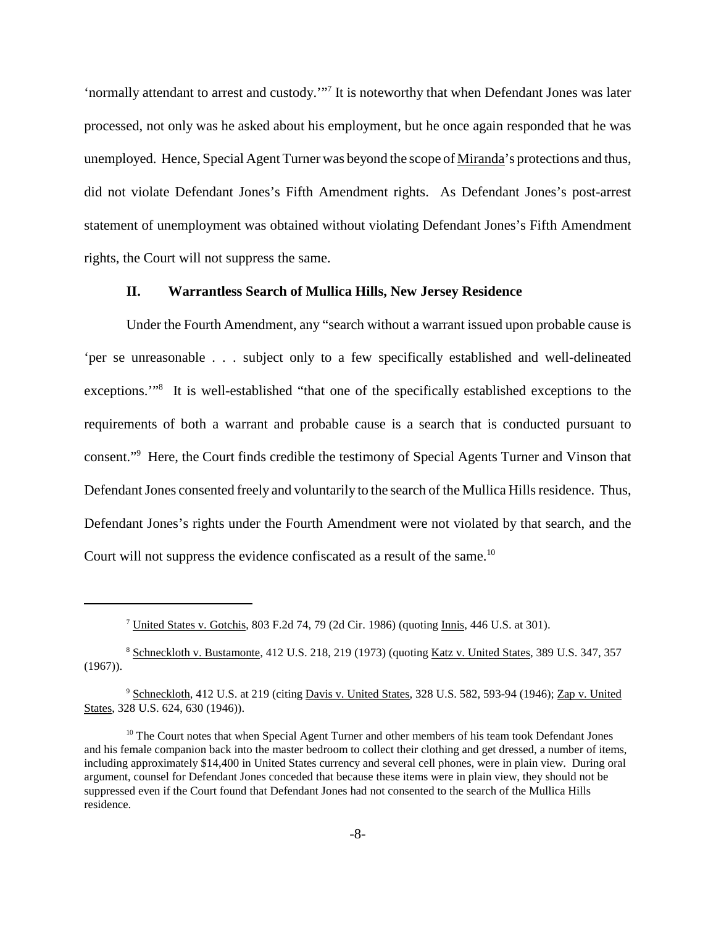'normally attendant to arrest and custody.'"7 It is noteworthy that when Defendant Jones was later processed, not only was he asked about his employment, but he once again responded that he was unemployed. Hence, Special Agent Turner was beyond the scope of Miranda's protections and thus, did not violate Defendant Jones's Fifth Amendment rights. As Defendant Jones's post-arrest statement of unemployment was obtained without violating Defendant Jones's Fifth Amendment rights, the Court will not suppress the same.

#### **II. Warrantless Search of Mullica Hills, New Jersey Residence**

Under the Fourth Amendment, any "search without a warrant issued upon probable cause is 'per se unreasonable . . . subject only to a few specifically established and well-delineated exceptions.'"8 It is well-established "that one of the specifically established exceptions to the requirements of both a warrant and probable cause is a search that is conducted pursuant to consent."9 Here, the Court finds credible the testimony of Special Agents Turner and Vinson that Defendant Jones consented freely and voluntarily to the search of the Mullica Hills residence. Thus, Defendant Jones's rights under the Fourth Amendment were not violated by that search, and the Court will not suppress the evidence confiscated as a result of the same.<sup>10</sup>

<sup>7</sup> United States v. Gotchis, 803 F.2d 74, 79 (2d Cir. 1986) (quoting Innis, 446 U.S. at 301).

<sup>&</sup>lt;sup>8</sup> Schneckloth v. Bustamonte, 412 U.S. 218, 219 (1973) (quoting Katz v. United States, 389 U.S. 347, 357  $(1967)$ ).

<sup>&</sup>lt;sup>9</sup> Schneckloth, 412 U.S. at 219 (citing Davis v. United States, 328 U.S. 582, 593-94 (1946); Zap v. United States, 328 U.S. 624, 630 (1946)).

 $10$  The Court notes that when Special Agent Turner and other members of his team took Defendant Jones and his female companion back into the master bedroom to collect their clothing and get dressed, a number of items, including approximately \$14,400 in United States currency and several cell phones, were in plain view. During oral argument, counsel for Defendant Jones conceded that because these items were in plain view, they should not be suppressed even if the Court found that Defendant Jones had not consented to the search of the Mullica Hills residence.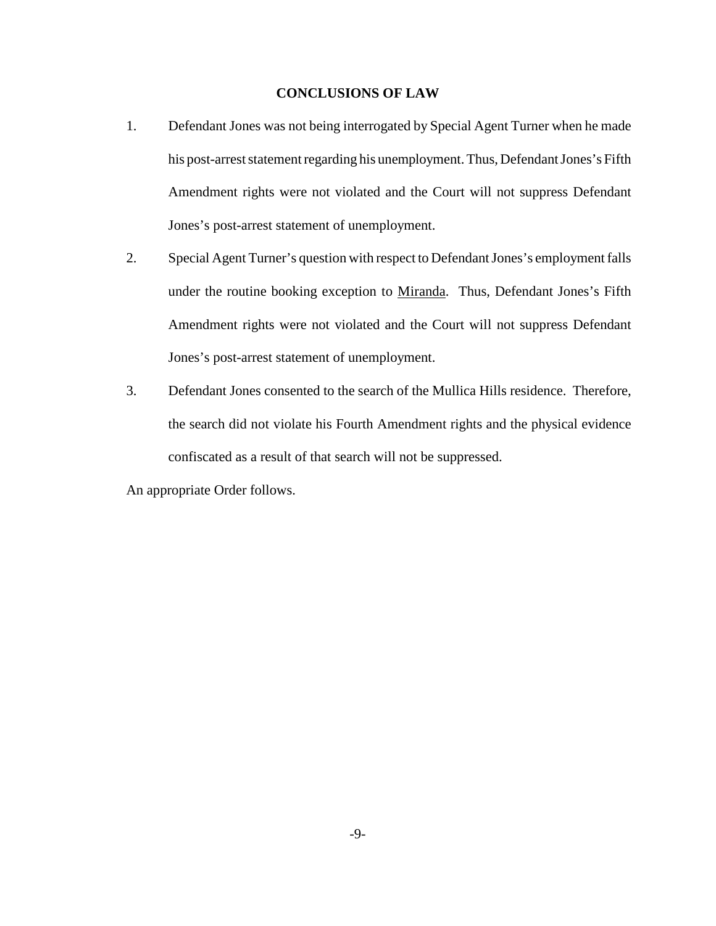## **CONCLUSIONS OF LAW**

- 1. Defendant Jones was not being interrogated by Special Agent Turner when he made his post-arrest statement regarding his unemployment. Thus, Defendant Jones's Fifth Amendment rights were not violated and the Court will not suppress Defendant Jones's post-arrest statement of unemployment.
- 2. Special Agent Turner's question with respect to DefendantJones's employmentfalls under the routine booking exception to Miranda. Thus, Defendant Jones's Fifth Amendment rights were not violated and the Court will not suppress Defendant Jones's post-arrest statement of unemployment.
- 3. Defendant Jones consented to the search of the Mullica Hills residence. Therefore, the search did not violate his Fourth Amendment rights and the physical evidence confiscated as a result of that search will not be suppressed.

An appropriate Order follows.